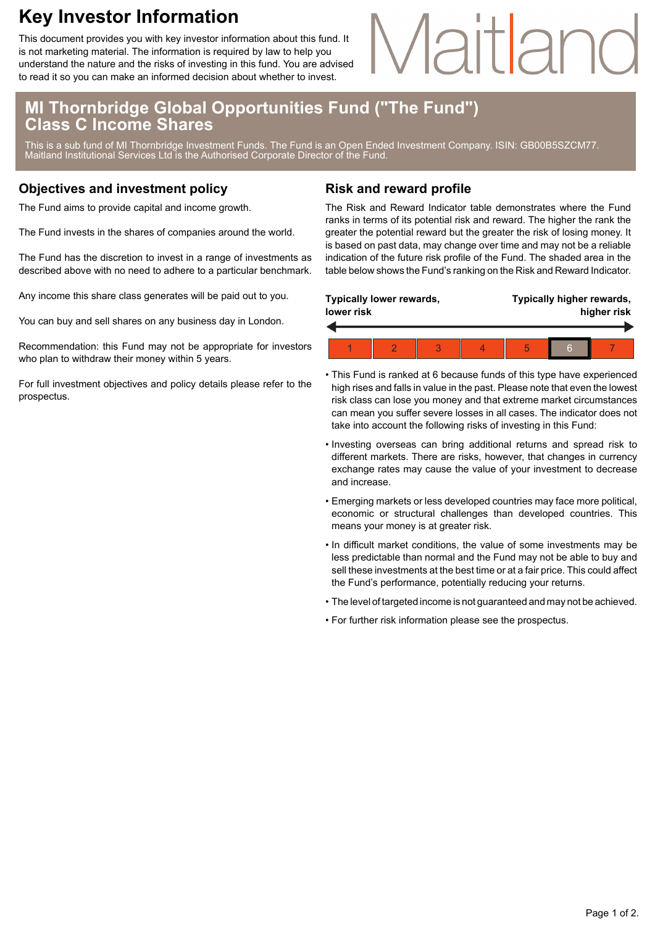## **Key Investor Information**

This document provides you with key investor information about this fund. It is not marketing material. The information is required by law to help you understand the nature and the risks of investing in this fund. You are advised to read it so you can make an informed decision about whether to invest.

# lartlan

### **MI Thornbridge Global Opportunities Fund ("The Fund") Class C Income Shares**

This is a sub fund of MI Thornbridge Investment Funds. The Fund is an Open Ended Investment Company. ISIN: GB00B5SZCM77. Maitland Institutional Services Ltd is the Authorised Corporate Director of the Fund.

#### **Objectives and investment policy**

The Fund aims to provide capital and income growth.

The Fund invests in the shares of companies around the world.

The Fund has the discretion to invest in a range of investments as described above with no need to adhere to a particular benchmark.

Any income this share class generates will be paid out to you.

You can buy and sell shares on any business day in London.

Recommendation: this Fund may not be appropriate for investors who plan to withdraw their money within 5 years.

For full investment objectives and policy details please refer to the prospectus.

#### **Risk and reward profile**

The Risk and Reward Indicator table demonstrates where the Fund ranks in terms of its potential risk and reward. The higher the rank the greater the potential reward but the greater the risk of losing money. It is based on past data, may change over time and may not be a reliable indication of the future risk profile of the Fund. The shaded area in the table below shows the Fund's ranking on the Risk and Reward Indicator.

| Typically lower rewards,<br>lower risk |  |  |  | Typically higher rewards,<br>higher risk |   |  |  |
|----------------------------------------|--|--|--|------------------------------------------|---|--|--|
|                                        |  |  |  |                                          |   |  |  |
|                                        |  |  |  |                                          | հ |  |  |

- This Fund is ranked at 6 because funds of this type have experienced high rises and falls in value in the past. Please note that even the lowest risk class can lose you money and that extreme market circumstances can mean you suffer severe losses in all cases. The indicator does not take into account the following risks of investing in this Fund:
- Investing overseas can bring additional returns and spread risk to different markets. There are risks, however, that changes in currency exchange rates may cause the value of your investment to decrease and increase.
- Emerging markets or less developed countries may face more political, economic or structural challenges than developed countries. This means your money is at greater risk.
- In difficult market conditions, the value of some investments may be less predictable than normal and the Fund may not be able to buy and sell these investments at the best time or at a fair price. This could affect the Fund's performance, potentially reducing your returns.
- The level of targeted income is not guaranteed and may not be achieved.
- For further risk information please see the prospectus.